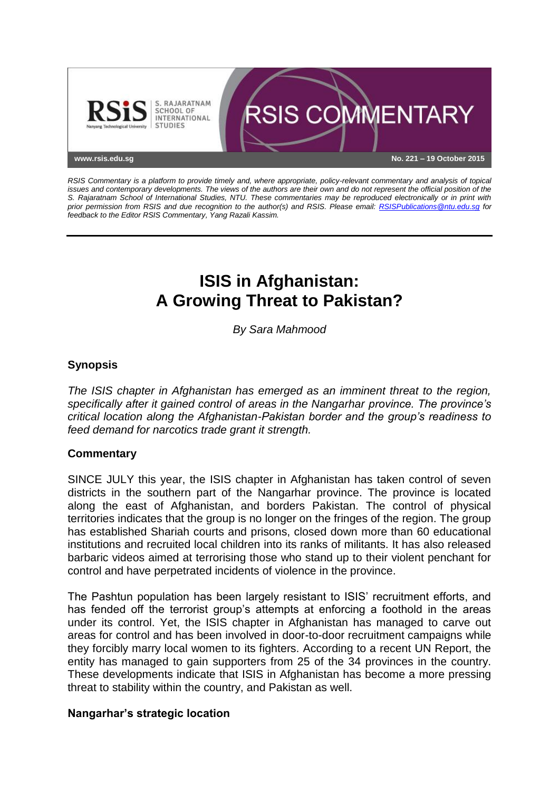

*RSIS Commentary is a platform to provide timely and, where appropriate, policy-relevant commentary and analysis of topical issues and contemporary developments. The views of the authors are their own and do not represent the official position of the S. Rajaratnam School of International Studies, NTU. These commentaries may be reproduced electronically or in print with prior permission from RSIS and due recognition to the author(s) and RSIS. Please email: [RSISPublications@ntu.edu.sg](mailto:RSISPublications@ntu.edu.sg) for feedback to the Editor RSIS Commentary, Yang Razali Kassim.*

# **ISIS in Afghanistan: A Growing Threat to Pakistan?**

*By Sara Mahmood*

## **Synopsis**

*The ISIS chapter in Afghanistan has emerged as an imminent threat to the region, specifically after it gained control of areas in the Nangarhar province. The province's critical location along the Afghanistan-Pakistan border and the group's readiness to feed demand for narcotics trade grant it strength.*

## **Commentary**

SINCE JULY this year, the ISIS chapter in Afghanistan has taken control of seven districts in the southern part of the Nangarhar province. The province is located along the east of Afghanistan, and borders Pakistan. The control of physical territories indicates that the group is no longer on the fringes of the region. The group has established Shariah courts and prisons, closed down more than 60 educational institutions and recruited local children into its ranks of militants. It has also released barbaric videos aimed at terrorising those who stand up to their violent penchant for control and have perpetrated incidents of violence in the province.

The Pashtun population has been largely resistant to ISIS' recruitment efforts, and has fended off the terrorist group's attempts at enforcing a foothold in the areas under its control. Yet, the ISIS chapter in Afghanistan has managed to carve out areas for control and has been involved in door-to-door recruitment campaigns while they forcibly marry local women to its fighters. According to a recent UN Report, the entity has managed to gain supporters from 25 of the 34 provinces in the country. These developments indicate that ISIS in Afghanistan has become a more pressing threat to stability within the country, and Pakistan as well.

### **Nangarhar's strategic location**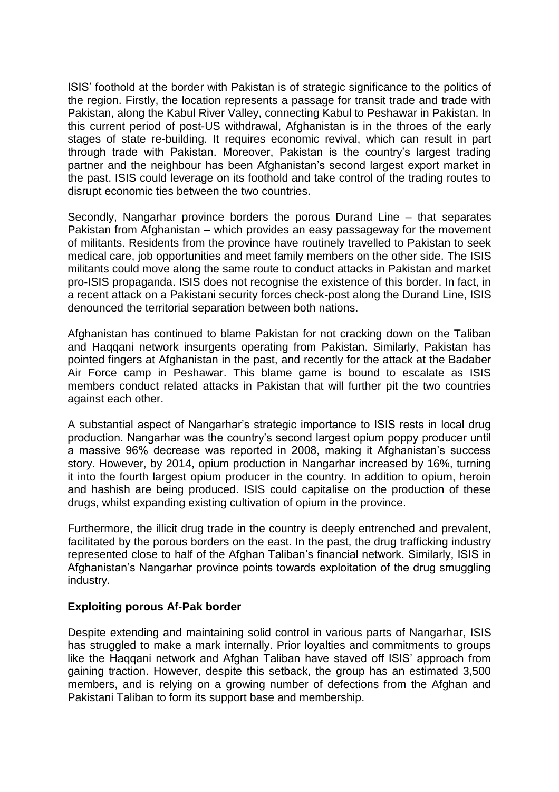ISIS' foothold at the border with Pakistan is of strategic significance to the politics of the region. Firstly, the location represents a passage for transit trade and trade with Pakistan, along the Kabul River Valley, connecting Kabul to Peshawar in Pakistan. In this current period of post-US withdrawal, Afghanistan is in the throes of the early stages of state re-building. It requires economic revival, which can result in part through trade with Pakistan. Moreover, Pakistan is the country's largest trading partner and the neighbour has been Afghanistan's second largest export market in the past. ISIS could leverage on its foothold and take control of the trading routes to disrupt economic ties between the two countries.

Secondly, Nangarhar province borders the porous Durand Line – that separates Pakistan from Afghanistan – which provides an easy passageway for the movement of militants. Residents from the province have routinely travelled to Pakistan to seek medical care, job opportunities and meet family members on the other side. The ISIS militants could move along the same route to conduct attacks in Pakistan and market pro-ISIS propaganda. ISIS does not recognise the existence of this border. In fact, in a recent attack on a Pakistani security forces check-post along the Durand Line, ISIS denounced the territorial separation between both nations.

Afghanistan has continued to blame Pakistan for not cracking down on the Taliban and Haqqani network insurgents operating from Pakistan. Similarly, Pakistan has pointed fingers at Afghanistan in the past, and recently for the attack at the Badaber Air Force camp in Peshawar. This blame game is bound to escalate as ISIS members conduct related attacks in Pakistan that will further pit the two countries against each other.

A substantial aspect of Nangarhar's strategic importance to ISIS rests in local drug production. Nangarhar was the country's second largest opium poppy producer until a massive 96% decrease was reported in 2008, making it Afghanistan's success story. However, by 2014, opium production in Nangarhar increased by 16%, turning it into the fourth largest opium producer in the country. In addition to opium, heroin and hashish are being produced. ISIS could capitalise on the production of these drugs, whilst expanding existing cultivation of opium in the province.

Furthermore, the illicit drug trade in the country is deeply entrenched and prevalent, facilitated by the porous borders on the east. In the past, the drug trafficking industry represented close to half of the Afghan Taliban's financial network. Similarly, ISIS in Afghanistan's Nangarhar province points towards exploitation of the drug smuggling industry.

### **Exploiting porous Af-Pak border**

Despite extending and maintaining solid control in various parts of Nangarhar, ISIS has struggled to make a mark internally. Prior loyalties and commitments to groups like the Haqqani network and Afghan Taliban have staved off ISIS' approach from gaining traction. However, despite this setback, the group has an estimated 3,500 members, and is relying on a growing number of defections from the Afghan and Pakistani Taliban to form its support base and membership.